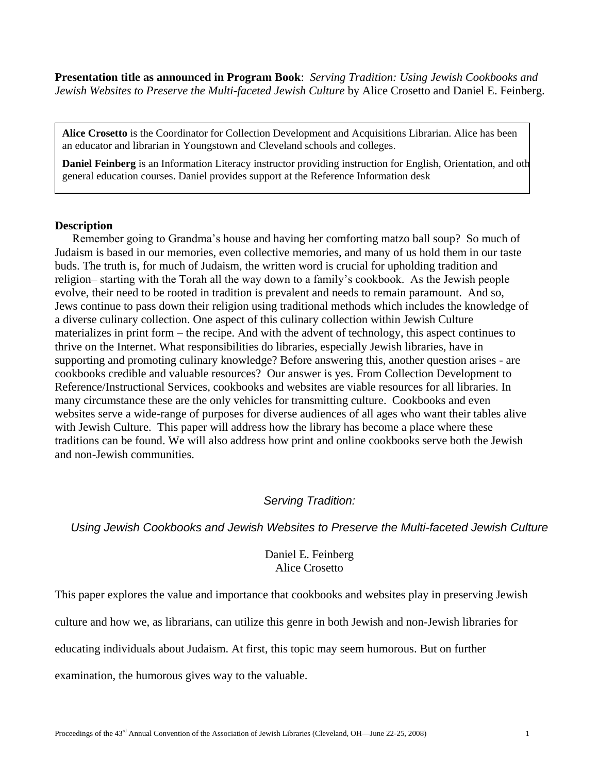**Presentation title as announced in Program Book**: *Serving Tradition: Using Jewish Cookbooks and Jewish Websites to Preserve the Multi-faceted Jewish Culture* by Alice Crosetto and Daniel E. Feinberg.

**Alice Crosetto** is the Coordinator for Collection Development and Acquisitions Librarian. Alice has been an educator and librarian in Youngstown and Cleveland schools and colleges.

**Daniel Feinberg** is an Information Literacy instructor providing instruction for English, Orientation, and oth general education courses. Daniel provides support at the Reference Information desk

## **Description**

.

Remember going to Grandma's house and having her comforting matzo ball soup? So much of Judaism is based in our memories, even collective memories, and many of us hold them in our taste buds. The truth is, for much of Judaism, the written word is crucial for upholding tradition and religion– starting with the Torah all the way down to a family's cookbook. As the Jewish people evolve, their need to be rooted in tradition is prevalent and needs to remain paramount. And so, Jews continue to pass down their religion using traditional methods which includes the knowledge of a diverse culinary collection. One aspect of this culinary collection within Jewish Culture materializes in print form – the recipe. And with the advent of technology, this aspect continues to thrive on the Internet. What responsibilities do libraries, especially Jewish libraries, have in supporting and promoting culinary knowledge? Before answering this, another question arises - are cookbooks credible and valuable resources? Our answer is yes. From Collection Development to Reference/Instructional Services, cookbooks and websites are viable resources for all libraries. In many circumstance these are the only vehicles for transmitting culture. Cookbooks and even websites serve a wide-range of purposes for diverse audiences of all ages who want their tables alive with Jewish Culture. This paper will address how the library has become a place where these traditions can be found. We will also address how print and online cookbooks serve both the Jewish and non-Jewish communities.

## *Serving Tradition:*

*Using Jewish Cookbooks and Jewish Websites to Preserve the Multi-faceted Jewish Culture*

## Daniel E. Feinberg Alice Crosetto

This paper explores the value and importance that cookbooks and websites play in preserving Jewish

culture and how we, as librarians, can utilize this genre in both Jewish and non-Jewish libraries for

educating individuals about Judaism. At first, this topic may seem humorous. But on further

examination, the humorous gives way to the valuable.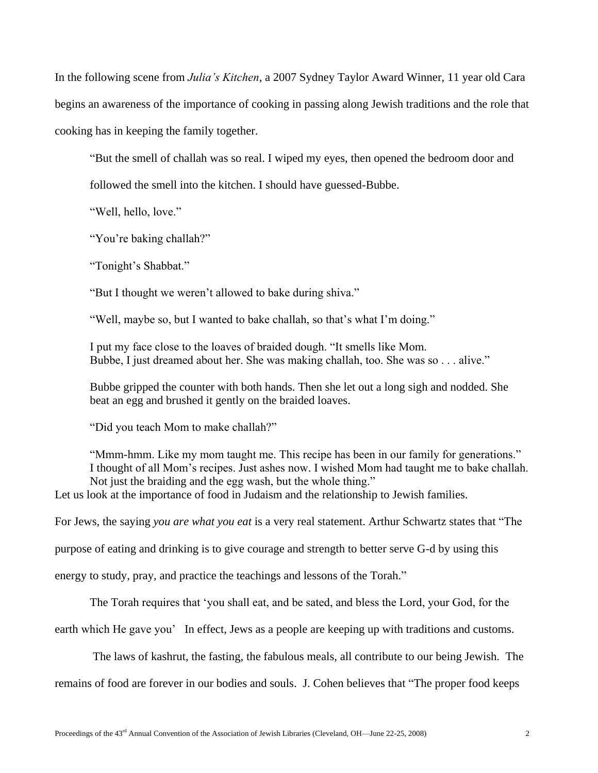In the following scene from *Julia's Kitchen*, a 2007 Sydney Taylor Award Winner, 11 year old Cara begins an awareness of the importance of cooking in passing along Jewish traditions and the role that cooking has in keeping the family together.

―But the smell of challah was so real. I wiped my eyes, then opened the bedroom door and

followed the smell into the kitchen. I should have guessed-Bubbe.

"Well, hello, love."

"You're baking challah?"

"Tonight's Shabbat."

"But I thought we weren't allowed to bake during shiva."

"Well, maybe so, but I wanted to bake challah, so that's what I'm doing."

I put my face close to the loaves of braided dough. "It smells like Mom. Bubbe, I just dreamed about her. She was making challah, too. She was so . . . alive."

Bubbe gripped the counter with both hands. Then she let out a long sigh and nodded. She beat an egg and brushed it gently on the braided loaves.

"Did you teach Mom to make challah?"

"Mmm-hmm. Like my mom taught me. This recipe has been in our family for generations." I thought of all Mom's recipes. Just ashes now. I wished Mom had taught me to bake challah. Not just the braiding and the egg wash, but the whole thing."

Let us look at the importance of food in Judaism and the relationship to Jewish families.

For Jews, the saying *you are what you eat* is a very real statement. Arthur Schwartz states that "The

purpose of eating and drinking is to give courage and strength to better serve G-d by using this

energy to study, pray, and practice the teachings and lessons of the Torah."

The Torah requires that ‗you shall eat, and be sated, and bless the Lord, your God, for the

earth which He gave you' In effect, Jews as a people are keeping up with traditions and customs.

The laws of kashrut, the fasting, the fabulous meals, all contribute to our being Jewish. The

remains of food are forever in our bodies and souls. J. Cohen believes that "The proper food keeps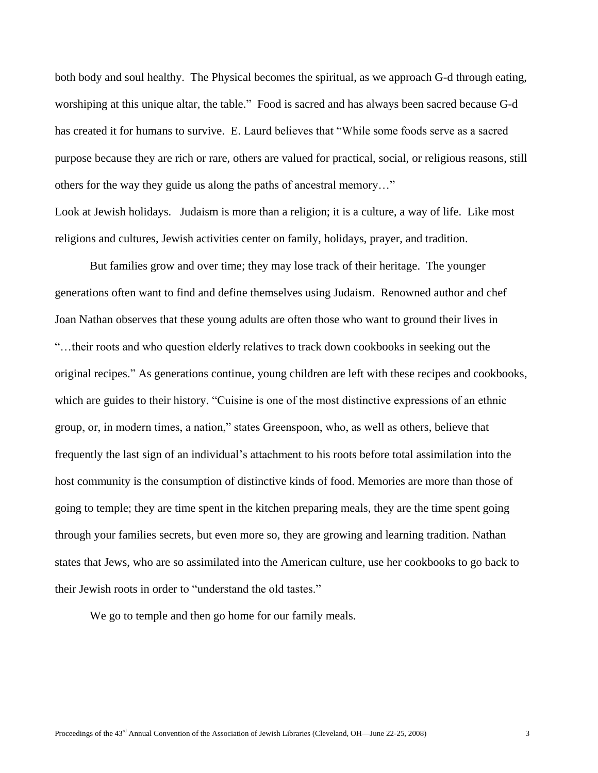both body and soul healthy. The Physical becomes the spiritual, as we approach G-d through eating, worshiping at this unique altar, the table." Food is sacred and has always been sacred because G-d has created it for humans to survive. E. Laurd believes that "While some foods serve as a sacred purpose because they are rich or rare, others are valued for practical, social, or religious reasons, still others for the way they guide us along the paths of ancestral memory..."

Look at Jewish holidays. Judaism is more than a religion; it is a culture, a way of life. Like most religions and cultures, Jewish activities center on family, holidays, prayer, and tradition.

But families grow and over time; they may lose track of their heritage. The younger generations often want to find and define themselves using Judaism. Renowned author and chef Joan Nathan observes that these young adults are often those who want to ground their lives in ―…their roots and who question elderly relatives to track down cookbooks in seeking out the original recipes.‖ As generations continue, young children are left with these recipes and cookbooks, which are guides to their history. "Cuisine is one of the most distinctive expressions of an ethnic group, or, in modern times, a nation," states Greenspoon, who, as well as others, believe that frequently the last sign of an individual's attachment to his roots before total assimilation into the host community is the consumption of distinctive kinds of food. Memories are more than those of going to temple; they are time spent in the kitchen preparing meals, they are the time spent going through your families secrets, but even more so, they are growing and learning tradition. Nathan states that Jews, who are so assimilated into the American culture, use her cookbooks to go back to their Jewish roots in order to "understand the old tastes."

We go to temple and then go home for our family meals.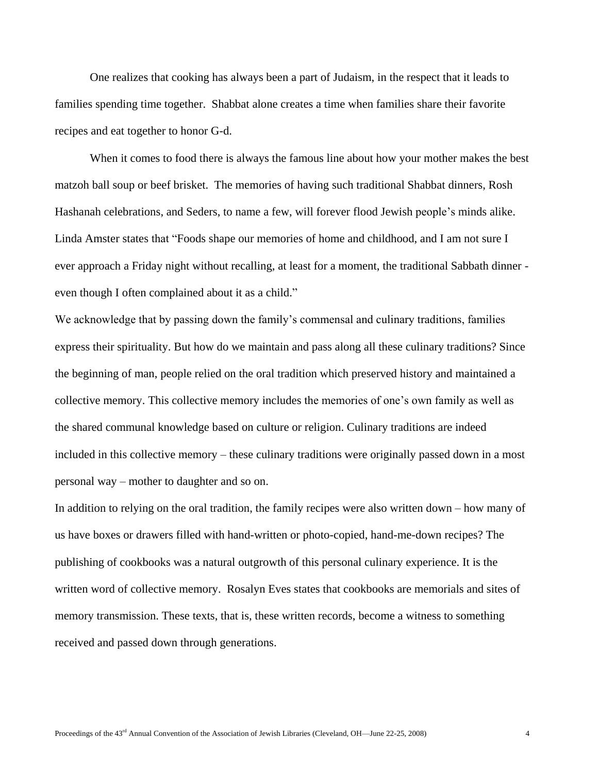One realizes that cooking has always been a part of Judaism, in the respect that it leads to families spending time together. Shabbat alone creates a time when families share their favorite recipes and eat together to honor G-d.

When it comes to food there is always the famous line about how your mother makes the best matzoh ball soup or beef brisket. The memories of having such traditional Shabbat dinners, Rosh Hashanah celebrations, and Seders, to name a few, will forever flood Jewish people's minds alike. Linda Amster states that "Foods shape our memories of home and childhood, and I am not sure I ever approach a Friday night without recalling, at least for a moment, the traditional Sabbath dinner even though I often complained about it as a child."

We acknowledge that by passing down the family's commensal and culinary traditions, families express their spirituality. But how do we maintain and pass along all these culinary traditions? Since the beginning of man, people relied on the oral tradition which preserved history and maintained a collective memory. This collective memory includes the memories of one's own family as well as the shared communal knowledge based on culture or religion. Culinary traditions are indeed included in this collective memory – these culinary traditions were originally passed down in a most personal way – mother to daughter and so on.

In addition to relying on the oral tradition, the family recipes were also written down – how many of us have boxes or drawers filled with hand-written or photo-copied, hand-me-down recipes? The publishing of cookbooks was a natural outgrowth of this personal culinary experience. It is the written word of collective memory. Rosalyn Eves states that cookbooks are memorials and sites of memory transmission. These texts, that is, these written records, become a witness to something received and passed down through generations.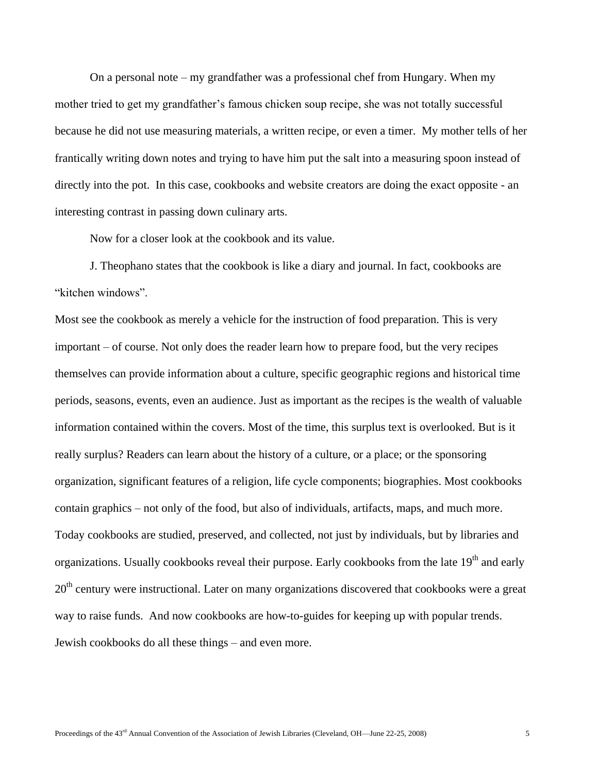On a personal note – my grandfather was a professional chef from Hungary. When my mother tried to get my grandfather's famous chicken soup recipe, she was not totally successful because he did not use measuring materials, a written recipe, or even a timer. My mother tells of her frantically writing down notes and trying to have him put the salt into a measuring spoon instead of directly into the pot. In this case, cookbooks and website creators are doing the exact opposite - an interesting contrast in passing down culinary arts.

Now for a closer look at the cookbook and its value.

J. Theophano states that the cookbook is like a diary and journal. In fact, cookbooks are "kitchen windows".

Most see the cookbook as merely a vehicle for the instruction of food preparation. This is very important – of course. Not only does the reader learn how to prepare food, but the very recipes themselves can provide information about a culture, specific geographic regions and historical time periods, seasons, events, even an audience. Just as important as the recipes is the wealth of valuable information contained within the covers. Most of the time, this surplus text is overlooked. But is it really surplus? Readers can learn about the history of a culture, or a place; or the sponsoring organization, significant features of a religion, life cycle components; biographies. Most cookbooks contain graphics – not only of the food, but also of individuals, artifacts, maps, and much more. Today cookbooks are studied, preserved, and collected, not just by individuals, but by libraries and organizations. Usually cookbooks reveal their purpose. Early cookbooks from the late 19<sup>th</sup> and early 20<sup>th</sup> century were instructional. Later on many organizations discovered that cookbooks were a great way to raise funds. And now cookbooks are how-to-guides for keeping up with popular trends. Jewish cookbooks do all these things – and even more.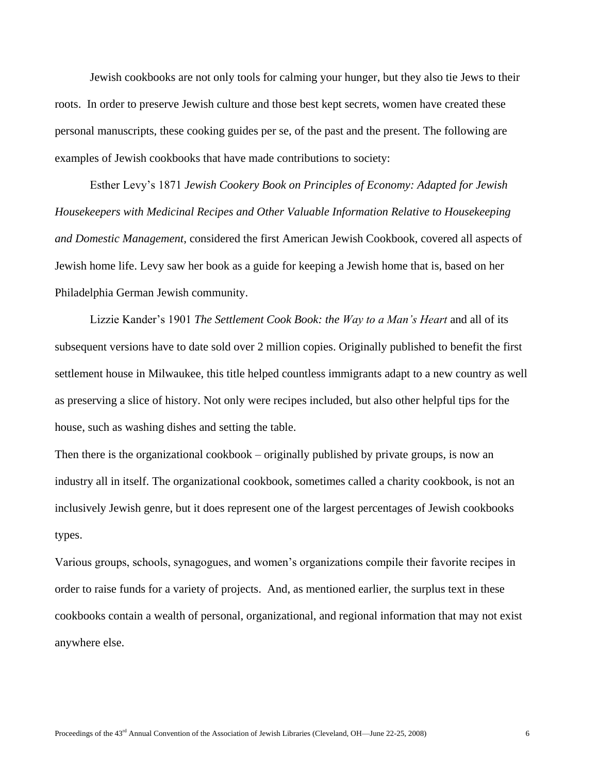Jewish cookbooks are not only tools for calming your hunger, but they also tie Jews to their roots. In order to preserve Jewish culture and those best kept secrets, women have created these personal manuscripts, these cooking guides per se, of the past and the present. The following are examples of Jewish cookbooks that have made contributions to society:

Esther Levy's 1871 *Jewish Cookery Book on Principles of Economy: Adapted for Jewish Housekeepers with Medicinal Recipes and Other Valuable Information Relative to Housekeeping and Domestic Management*, considered the first American Jewish Cookbook, covered all aspects of Jewish home life. Levy saw her book as a guide for keeping a Jewish home that is, based on her Philadelphia German Jewish community.

Lizzie Kander's 1901 *The Settlement Cook Book: the Way to a Man's Heart* and all of its subsequent versions have to date sold over 2 million copies. Originally published to benefit the first settlement house in Milwaukee, this title helped countless immigrants adapt to a new country as well as preserving a slice of history. Not only were recipes included, but also other helpful tips for the house, such as washing dishes and setting the table.

Then there is the organizational cookbook – originally published by private groups, is now an industry all in itself. The organizational cookbook, sometimes called a charity cookbook, is not an inclusively Jewish genre, but it does represent one of the largest percentages of Jewish cookbooks types.

Various groups, schools, synagogues, and women's organizations compile their favorite recipes in order to raise funds for a variety of projects. And, as mentioned earlier, the surplus text in these cookbooks contain a wealth of personal, organizational, and regional information that may not exist anywhere else.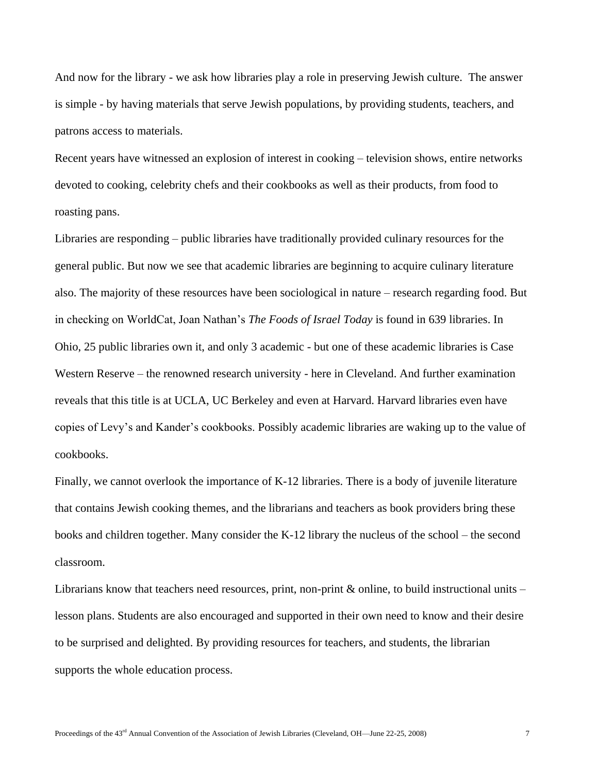And now for the library - we ask how libraries play a role in preserving Jewish culture. The answer is simple - by having materials that serve Jewish populations, by providing students, teachers, and patrons access to materials.

Recent years have witnessed an explosion of interest in cooking – television shows, entire networks devoted to cooking, celebrity chefs and their cookbooks as well as their products, from food to roasting pans.

Libraries are responding – public libraries have traditionally provided culinary resources for the general public. But now we see that academic libraries are beginning to acquire culinary literature also. The majority of these resources have been sociological in nature – research regarding food. But in checking on WorldCat, Joan Nathan's *The Foods of Israel Today* is found in 639 libraries. In Ohio, 25 public libraries own it, and only 3 academic - but one of these academic libraries is Case Western Reserve – the renowned research university - here in Cleveland. And further examination reveals that this title is at UCLA, UC Berkeley and even at Harvard. Harvard libraries even have copies of Levy's and Kander's cookbooks. Possibly academic libraries are waking up to the value of cookbooks.

Finally, we cannot overlook the importance of K-12 libraries. There is a body of juvenile literature that contains Jewish cooking themes, and the librarians and teachers as book providers bring these books and children together. Many consider the K-12 library the nucleus of the school – the second classroom.

Librarians know that teachers need resources, print, non-print  $\&$  online, to build instructional units – lesson plans. Students are also encouraged and supported in their own need to know and their desire to be surprised and delighted. By providing resources for teachers, and students, the librarian supports the whole education process.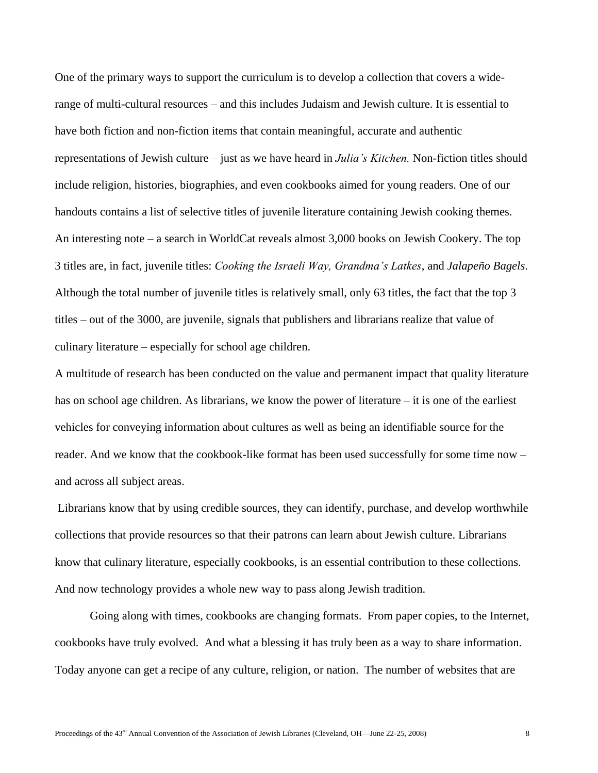One of the primary ways to support the curriculum is to develop a collection that covers a widerange of multi-cultural resources – and this includes Judaism and Jewish culture. It is essential to have both fiction and non-fiction items that contain meaningful, accurate and authentic representations of Jewish culture – just as we have heard in *Julia's Kitchen.* Non-fiction titles should include religion, histories, biographies, and even cookbooks aimed for young readers. One of our handouts contains a list of selective titles of juvenile literature containing Jewish cooking themes. An interesting note – a search in WorldCat reveals almost 3,000 books on Jewish Cookery. The top 3 titles are, in fact, juvenile titles: *Cooking the Israeli Way, Grandma's Latkes*, and *Jalapeño Bagels*. Although the total number of juvenile titles is relatively small, only 63 titles, the fact that the top 3 titles – out of the 3000, are juvenile, signals that publishers and librarians realize that value of culinary literature – especially for school age children.

A multitude of research has been conducted on the value and permanent impact that quality literature has on school age children. As librarians, we know the power of literature – it is one of the earliest vehicles for conveying information about cultures as well as being an identifiable source for the reader. And we know that the cookbook-like format has been used successfully for some time now – and across all subject areas.

Librarians know that by using credible sources, they can identify, purchase, and develop worthwhile collections that provide resources so that their patrons can learn about Jewish culture. Librarians know that culinary literature, especially cookbooks, is an essential contribution to these collections. And now technology provides a whole new way to pass along Jewish tradition.

Going along with times, cookbooks are changing formats. From paper copies, to the Internet, cookbooks have truly evolved. And what a blessing it has truly been as a way to share information. Today anyone can get a recipe of any culture, religion, or nation. The number of websites that are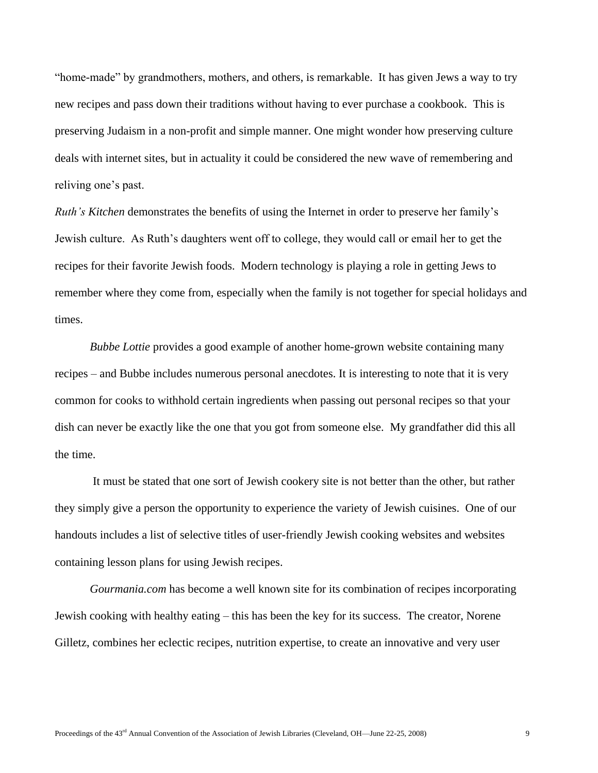"home-made" by grandmothers, mothers, and others, is remarkable. It has given Jews a way to try new recipes and pass down their traditions without having to ever purchase a cookbook. This is preserving Judaism in a non-profit and simple manner. One might wonder how preserving culture deals with internet sites, but in actuality it could be considered the new wave of remembering and reliving one's past.

*Ruth's Kitchen* demonstrates the benefits of using the Internet in order to preserve her family's Jewish culture. As Ruth's daughters went off to college, they would call or email her to get the recipes for their favorite Jewish foods. Modern technology is playing a role in getting Jews to remember where they come from, especially when the family is not together for special holidays and times.

*Bubbe Lottie* provides a good example of another home-grown website containing many recipes – and Bubbe includes numerous personal anecdotes. It is interesting to note that it is very common for cooks to withhold certain ingredients when passing out personal recipes so that your dish can never be exactly like the one that you got from someone else. My grandfather did this all the time.

It must be stated that one sort of Jewish cookery site is not better than the other, but rather they simply give a person the opportunity to experience the variety of Jewish cuisines. One of our handouts includes a list of selective titles of user-friendly Jewish cooking websites and websites containing lesson plans for using Jewish recipes.

*Gourmania.com* has become a well known site for its combination of recipes incorporating Jewish cooking with healthy eating – this has been the key for its success. The creator, Norene Gilletz, combines her eclectic recipes, nutrition expertise, to create an innovative and very user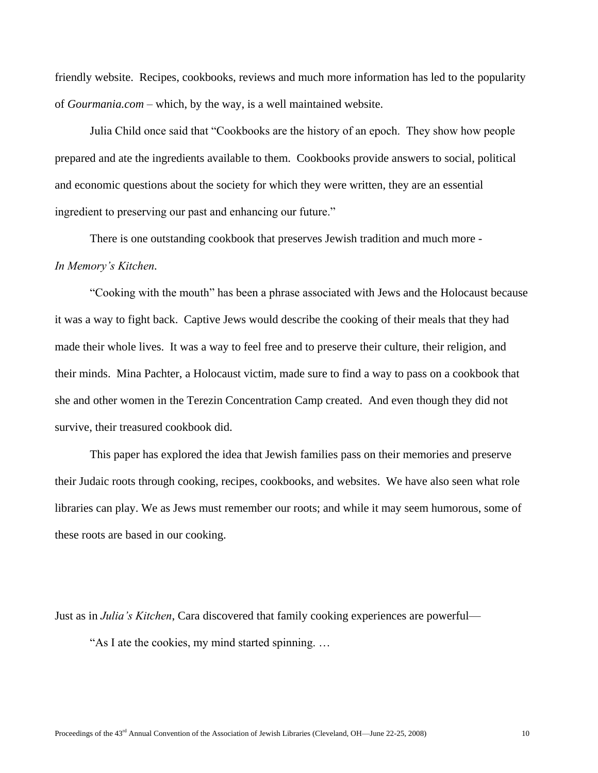friendly website. Recipes, cookbooks, reviews and much more information has led to the popularity of *Gourmania.com* – which, by the way, is a well maintained website.

Julia Child once said that "Cookbooks are the history of an epoch. They show how people prepared and ate the ingredients available to them. Cookbooks provide answers to social, political and economic questions about the society for which they were written, they are an essential ingredient to preserving our past and enhancing our future."

There is one outstanding cookbook that preserves Jewish tradition and much more - *In Memory's Kitchen.*

―Cooking with the mouth‖ has been a phrase associated with Jews and the Holocaust because it was a way to fight back. Captive Jews would describe the cooking of their meals that they had made their whole lives. It was a way to feel free and to preserve their culture, their religion, and their minds. Mina Pachter, a Holocaust victim, made sure to find a way to pass on a cookbook that she and other women in the Terezin Concentration Camp created. And even though they did not survive, their treasured cookbook did.

This paper has explored the idea that Jewish families pass on their memories and preserve their Judaic roots through cooking, recipes, cookbooks, and websites. We have also seen what role libraries can play. We as Jews must remember our roots; and while it may seem humorous, some of these roots are based in our cooking.

Just as in *Julia's Kitchen*, Cara discovered that family cooking experiences are powerful— "As I ate the cookies, my mind started spinning...